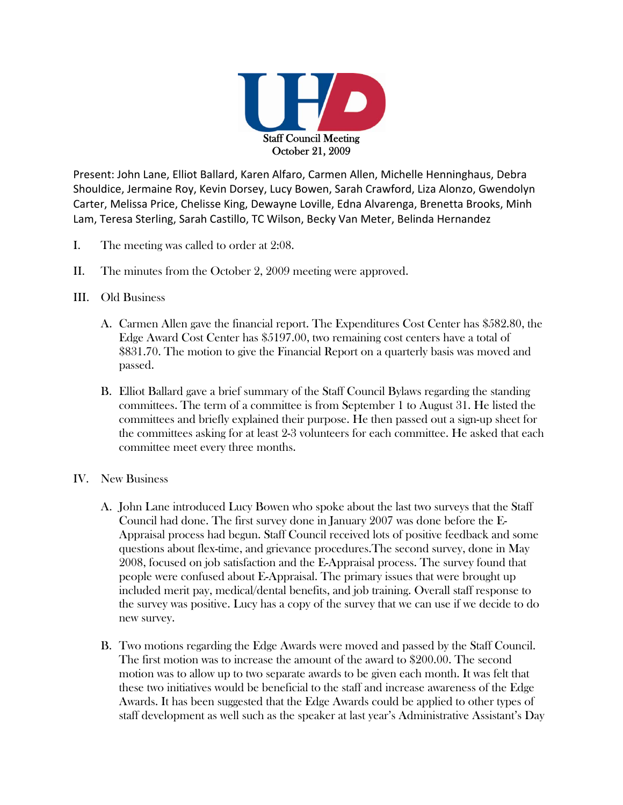

Present: John Lane, Elliot Ballard, Karen Alfaro, Carmen Allen, Michelle Henninghaus, Debra Shouldice, Jermaine Roy, Kevin Dorsey, Lucy Bowen, Sarah Crawford, Liza Alonzo, Gwendolyn Carter, Melissa Price, Chelisse King, Dewayne Loville, Edna Alvarenga, Brenetta Brooks, Minh Lam, Teresa Sterling, Sarah Castillo, TC Wilson, Becky Van Meter, Belinda Hernandez

- I. The meeting was called to order at 2:08.
- II. The minutes from the October 2, 2009 meeting were approved.
- III. Old Business
	- A. Carmen Allen gave the financial report. The Expenditures Cost Center has \$582.80, the Edge Award Cost Center has \$5197.00, two remaining cost centers have a total of \$831.70. The motion to give the Financial Report on a quarterly basis was moved and passed.
	- B. Elliot Ballard gave a brief summary of the Staff Council Bylaws regarding the standing committees. The term of a committee is from September 1 to August 31. He listed the committees and briefly explained their purpose. He then passed out a sign-up sheet for the committees asking for at least 2-3 volunteers for each committee. He asked that each committee meet every three months.
- IV. New Business
	- A. John Lane introduced Lucy Bowen who spoke about the last two surveys that the Staff Council had done. The first survey done in January 2007 was done before the E-Appraisal process had begun. Staff Council received lots of positive feedback and some questions about flex-time, and grievance procedures.The second survey, done in May 2008, focused on job satisfaction and the E-Appraisal process. The survey found that people were confused about E-Appraisal. The primary issues that were brought up included merit pay, medical/dental benefits, and job training. Overall staff response to the survey was positive. Lucy has a copy of the survey that we can use if we decide to do new survey.
	- B. Two motions regarding the Edge Awards were moved and passed by the Staff Council. The first motion was to increase the amount of the award to \$200.00. The second motion was to allow up to two separate awards to be given each month. It was felt that these two initiatives would be beneficial to the staff and increase awareness of the Edge Awards. It has been suggested that the Edge Awards could be applied to other types of staff development as well such as the speaker at last year's Administrative Assistant's Day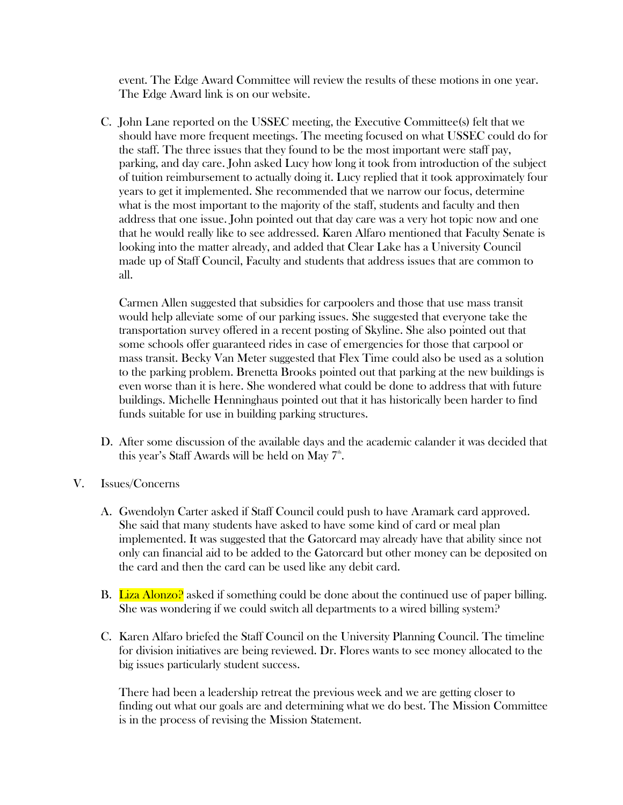event. The Edge Award Committee will review the results of these motions in one year. The Edge Award link is on our website.

C. John Lane reported on the USSEC meeting, the Executive Committee(s) felt that we should have more frequent meetings. The meeting focused on what USSEC could do for the staff. The three issues that they found to be the most important were staff pay, parking, and day care. John asked Lucy how long it took from introduction of the subject of tuition reimbursement to actually doing it. Lucy replied that it took approximately four years to get it implemented. She recommended that we narrow our focus, determine what is the most important to the majority of the staff, students and faculty and then address that one issue. John pointed out that day care was a very hot topic now and one that he would really like to see addressed. Karen Alfaro mentioned that Faculty Senate is looking into the matter already, and added that Clear Lake has a University Council made up of Staff Council, Faculty and students that address issues that are common to all.

Carmen Allen suggested that subsidies for carpoolers and those that use mass transit would help alleviate some of our parking issues. She suggested that everyone take the transportation survey offered in a recent posting of Skyline. She also pointed out that some schools offer guaranteed rides in case of emergencies for those that carpool or mass transit. Becky Van Meter suggested that Flex Time could also be used as a solution to the parking problem. Brenetta Brooks pointed out that parking at the new buildings is even worse than it is here. She wondered what could be done to address that with future buildings. Michelle Henninghaus pointed out that it has historically been harder to find funds suitable for use in building parking structures.

- D. After some discussion of the available days and the academic calander it was decided that this year's Staff Awards will be held on May  $7^{\text{th}}$ .
- V. Issues/Concerns
	- A. Gwendolyn Carter asked if Staff Council could push to have Aramark card approved. She said that many students have asked to have some kind of card or meal plan implemented. It was suggested that the Gatorcard may already have that ability since not only can financial aid to be added to the Gatorcard but other money can be deposited on the card and then the card can be used like any debit card.
	- B. Liza Alonzo? asked if something could be done about the continued use of paper billing. She was wondering if we could switch all departments to a wired billing system?
	- C. Karen Alfaro briefed the Staff Council on the University Planning Council. The timeline for division initiatives are being reviewed. Dr. Flores wants to see money allocated to the big issues particularly student success.

There had been a leadership retreat the previous week and we are getting closer to finding out what our goals are and determining what we do best. The Mission Committee is in the process of revising the Mission Statement.